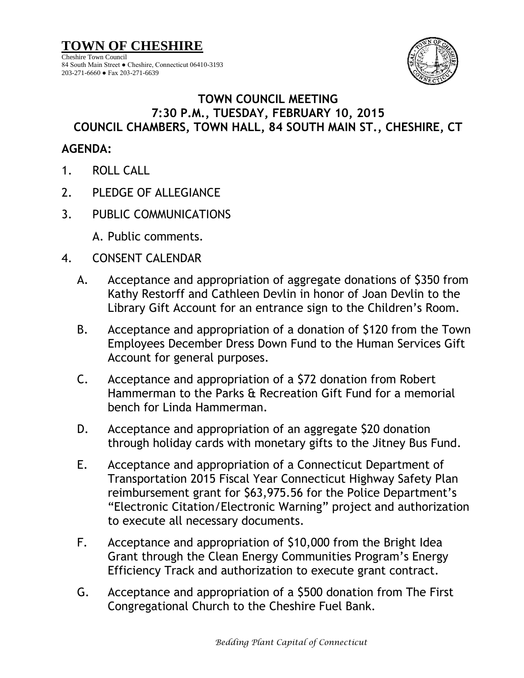**TOWN OF CHESHIRE** Cheshire Town Council 84 South Main Street ● Cheshire, Connecticut 06410-3193 203-271-6660 ● Fax 203-271-6639



## **TOWN COUNCIL MEETING 7:30 P.M., TUESDAY, FEBRUARY 10, 2015 COUNCIL CHAMBERS, TOWN HALL, 84 SOUTH MAIN ST., CHESHIRE, CT**

## **AGENDA:**

- 1. ROLL CALL
- 2. PLEDGE OF ALLEGIANCE
- 3. PUBLIC COMMUNICATIONS
	- A. Public comments.
- 4. CONSENT CALENDAR
	- A. Acceptance and appropriation of aggregate donations of \$350 from Kathy Restorff and Cathleen Devlin in honor of Joan Devlin to the Library Gift Account for an entrance sign to the Children's Room.
	- B. Acceptance and appropriation of a donation of \$120 from the Town Employees December Dress Down Fund to the Human Services Gift Account for general purposes.
	- C. Acceptance and appropriation of a \$72 donation from Robert Hammerman to the Parks & Recreation Gift Fund for a memorial bench for Linda Hammerman.
	- D. Acceptance and appropriation of an aggregate \$20 donation through holiday cards with monetary gifts to the Jitney Bus Fund.
	- E. Acceptance and appropriation of a Connecticut Department of Transportation 2015 Fiscal Year Connecticut Highway Safety Plan reimbursement grant for \$63,975.56 for the Police Department's "Electronic Citation/Electronic Warning" project and authorization to execute all necessary documents.
	- F. Acceptance and appropriation of \$10,000 from the Bright Idea Grant through the Clean Energy Communities Program's Energy Efficiency Track and authorization to execute grant contract.
	- G. Acceptance and appropriation of a \$500 donation from The First Congregational Church to the Cheshire Fuel Bank.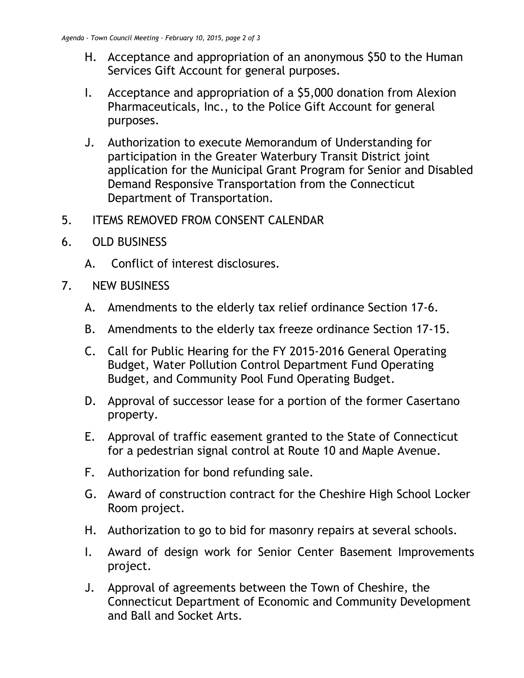- H. Acceptance and appropriation of an anonymous \$50 to the Human Services Gift Account for general purposes.
- I. Acceptance and appropriation of a \$5,000 donation from Alexion Pharmaceuticals, Inc., to the Police Gift Account for general purposes.
- J. Authorization to execute Memorandum of Understanding for participation in the Greater Waterbury Transit District joint application for the Municipal Grant Program for Senior and Disabled Demand Responsive Transportation from the Connecticut Department of Transportation.
- 5. ITEMS REMOVED FROM CONSENT CALENDAR
- 6. OLD BUSINESS
	- A. Conflict of interest disclosures.
- 7. NEW BUSINESS
	- A. Amendments to the elderly tax relief ordinance Section 17-6.
	- B. Amendments to the elderly tax freeze ordinance Section 17-15.
	- C. Call for Public Hearing for the FY 2015-2016 General Operating Budget, Water Pollution Control Department Fund Operating Budget, and Community Pool Fund Operating Budget.
	- D. Approval of successor lease for a portion of the former Casertano property.
	- E. Approval of traffic easement granted to the State of Connecticut for a pedestrian signal control at Route 10 and Maple Avenue.
	- F. Authorization for bond refunding sale.
	- G. Award of construction contract for the Cheshire High School Locker Room project.
	- H. Authorization to go to bid for masonry repairs at several schools.
	- I. Award of design work for Senior Center Basement Improvements project.
	- J. Approval of agreements between the Town of Cheshire, the Connecticut Department of Economic and Community Development and Ball and Socket Arts.